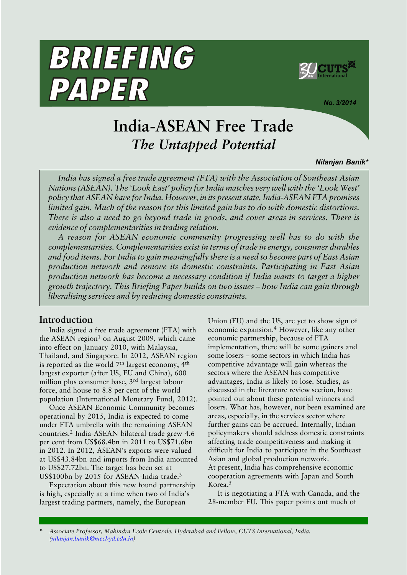

*No. 3/2014*

# **India-ASEAN Free Trade** *The Untapped Potential*

#### *Nilanjan Banik\**

*India has signed a free trade agreement (FTA) with the Association of Southeast Asian Nations (ASEAN). The 'Look East' policy for India matches very well with the 'Look West' policy that ASEAN have for India. However, in its present state, India-ASEAN FTA promises limited gain. Much of the reason for this limited gain has to do with domestic distortions. There is also a need to go beyond trade in goods, and cover areas in services. There is evidence of complementarities in trading relation.*

*A reason for ASEAN economic community progressing well has to do with the complementarities. Complementarities exist in terms of trade in energy, consumer durables and food items. For India to gain meaningfully there is a need to become part of East Asian production network and remove its domestic constraints. Participating in East Asian production network has become a necessary condition if India wants to target a higher* growth trajectory. This Briefing Paper builds on two issues – how India can gain through *liberalising services and by reducing domestic constraints.*

## **Introduction**

India signed a free trade agreement (FTA) with the ASEAN region<sup>1</sup> on August 2009, which came into effect on January 2010, with Malaysia, Thailand, and Singapore. In 2012, ASEAN region is reported as the world  $7<sup>th</sup>$  largest economy,  $4<sup>th</sup>$ largest exporter (after US, EU and China), 600 million plus consumer base, 3rd largest labour force, and house to 8.8 per cent of the world population (International Monetary Fund, 2012).

BRIEFING

PAPER

Once ASEAN Economic Community becomes operational by 2015, India is expected to come under FTA umbrella with the remaining ASEAN countries.2 India-ASEAN bilateral trade grew 4.6 per cent from US\$68.4bn in 2011 to US\$71.6bn in 2012. In 2012, ASEAN's exports were valued at US\$43.84bn and imports from India amounted to US\$27.72bn. The target has been set at US\$100bn by 2015 for ASEAN-India trade.<sup>3</sup>

Expectation about this new found partnership is high, especially at a time when two of India's largest trading partners, namely, the European

Union (EU) and the US, are yet to show sign of economic expansion.4 However, like any other economic partnership, because of FTA implementation, there will be some gainers and some losers – some sectors in which India has competitive advantage will gain whereas the sectors where the ASEAN has competitive advantages, India is likely to lose. Studies, as discussed in the literature review section, have pointed out about these potential winners and losers. What has, however, not been examined are areas, especially, in the services sector where further gains can be accrued. Internally, Indian policymakers should address domestic constraints affecting trade competitiveness and making it difficult for India to participate in the Southeast Asian and global production network. At present, India has comprehensive economic cooperation agreements with Japan and South Korea.<sup>5</sup>

It is negotiating a FTA with Canada, and the 28-member EU. This paper points out much of

**\*** *Associate Professor, Mahindra Ecole Centrale, Hyderabad and Fellow, CUTS International, India. (nilanjan.banik@mechyd.edu.in)*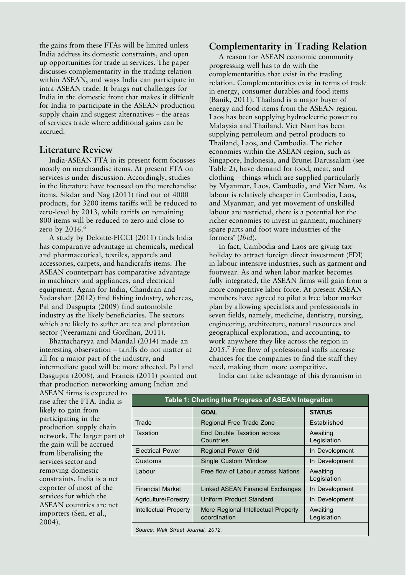the gains from these FTAs will be limited unless India address its domestic constraints, and open up opportunities for trade in services. The paper discusses complementarity in the trading relation within ASEAN, and ways India can participate in intra-ASEAN trade. It brings out challenges for India in the domestic front that makes it difficult for India to participate in the ASEAN production supply chain and suggest alternatives - the areas of services trade where additional gains can be accrued.

## **Literature Review**

India-ASEAN FTA in its present form focusses mostly on merchandise items. At present FTA on services is under discussion. Accordingly, studies in the literature have focussed on the merchandise items. Sikdar and Nag (2011) find out of 4000 products, for 3200 items tariffs will be reduced to zero-level by 2013, while tariffs on remaining 800 items will be reduced to zero and close to zero by 2016.<sup>6</sup>

A study by Deloitte-FICCI (2011) finds India has comparative advantage in chemicals, medical and pharmaceutical, textiles, apparels and accessories, carpets, and handicrafts items. The ASEAN counterpart has comparative advantage in machinery and appliances, and electrical equipment. Again for India, Chandran and Sudarshan (2012) find fishing industry, whereas, Pal and Dasgupta (2009) find automobile industry as the likely beneficiaries. The sectors which are likely to suffer are tea and plantation sector (Veeramani and Gordhan, 2011).

Bhattacharyya and Mandal (2014) made an interesting observation – tariffs do not matter at all for a major part of the industry, and intermediate good will be more affected. Pal and Dasgupta (2008), and Francis (2011) pointed out that production networking among Indian and

**Complementarity in Trading Relation**

A reason for ASEAN economic community progressing well has to do with the complementarities that exist in the trading relation. Complementarities exist in terms of trade in energy, consumer durables and food items (Banik, 2011). Thailand is a major buyer of energy and food items from the ASEAN region. Laos has been supplying hydroelectric power to Malaysia and Thailand. Viet Nam has been supplying petroleum and petrol products to Thailand, Laos, and Cambodia. The richer economies within the ASEAN region, such as Singapore, Indonesia, and Brunei Darussalam (see Table 2), have demand for food, meat, and clothing – things which are supplied particularly by Myanmar, Laos, Cambodia, and Viet Nam. As labour is relatively cheaper in Cambodia, Laos, and Myanmar, and yet movement of unskilled labour are restricted, there is a potential for the richer economies to invest in garment, machinery spare parts and foot ware industries of the formers' (*Ibid*).

In fact, Cambodia and Laos are giving taxholiday to attract foreign direct investment (FDI) in labour intensive industries, such as garment and footwear. As and when labor market becomes fully integrated, the ASEAN firms will gain from a more competitive labor force. At present ASEAN members have agreed to pilot a free labor market plan by allowing specialists and professionals in seven fields, namely, medicine, dentistry, nursing, engineering, architecture, natural resources and geographical exploration, and accounting, to work anywhere they like across the region in 2015.7 Free flow of professional staffs increase chances for the companies to find the staff they need, making them more competitive.

ASEAN firms is expected to rise after the FTA. India is likely to gain from participating in the production supply chain network. The larger part of the gain will be accrued from liberalising the services sector and removing domestic constraints. India is a net exporter of most of the services for which the ASEAN countries are net importers (Sen, et al., 2004).

India can take advantage of this dynamism in

| Table 1: Charting the Progress of ASEAN Integration |                                                     |                         |  |  |  |  |
|-----------------------------------------------------|-----------------------------------------------------|-------------------------|--|--|--|--|
|                                                     | <b>GOAL</b>                                         | <b>STATUS</b>           |  |  |  |  |
| Trade                                               | Regional Free Trade Zone                            | Established             |  |  |  |  |
| Taxation                                            | End Double Taxation across<br>Countries             | Awaiting<br>Legislation |  |  |  |  |
| <b>Electrical Power</b>                             | Regional Power Grid                                 | In Development          |  |  |  |  |
| Customs                                             | Single Custom Window                                | In Development          |  |  |  |  |
| Labour                                              | Free flow of Labour across Nations                  | Awaiting<br>Legislation |  |  |  |  |
| <b>Financial Market</b>                             | Linked ASEAN Financial Exchanges                    | In Development          |  |  |  |  |
| Agriculture/Forestry                                | Uniform Product Standard                            | In Development          |  |  |  |  |
| Intellectual Property                               | More Regional Intellectual Property<br>coordination | Awaiting<br>Legislation |  |  |  |  |
| Source: Wall Street Journal, 2012.                  |                                                     |                         |  |  |  |  |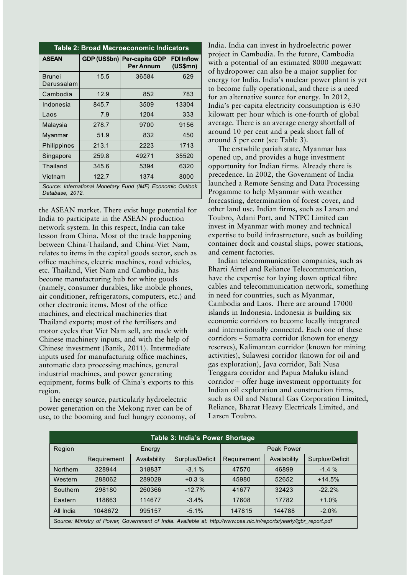| Table 2: Broad Macroeconomic Indicators                                       |       |                                                 |                               |  |  |  |
|-------------------------------------------------------------------------------|-------|-------------------------------------------------|-------------------------------|--|--|--|
| <b>ASEAN</b>                                                                  |       | GDP (US\$bn) Per-capita GDP<br><b>Per Annum</b> | <b>FDI Inflow</b><br>(US\$mn) |  |  |  |
| <b>Brunei</b><br>Darussalam                                                   | 15.5  | 36584                                           | 629                           |  |  |  |
| Cambodia                                                                      | 12.9  | 852                                             | 783                           |  |  |  |
| Indonesia                                                                     | 845.7 | 3509                                            | 13304                         |  |  |  |
| Laos                                                                          | 7.9   | 1204                                            | 333                           |  |  |  |
| Malaysia                                                                      | 278.7 | 9700                                            | 9156                          |  |  |  |
| Myanmar                                                                       | 51.9  | 832                                             | 450                           |  |  |  |
| Philippines                                                                   | 213.1 | 2223                                            | 1713                          |  |  |  |
| Singapore                                                                     | 259.8 | 49271                                           | 35520                         |  |  |  |
| Thailand                                                                      | 345.6 | 5394                                            | 6320                          |  |  |  |
| Vietnam                                                                       | 122.7 | 1374                                            | 8000                          |  |  |  |
| Source: International Monetary Fund (IMF) Economic Outlook<br>Database, 2012. |       |                                                 |                               |  |  |  |

the ASEAN market. There exist huge potential for India to participate in the ASEAN production network system. In this respect, India can take lesson from China. Most of the trade happening between China-Thailand, and China-Viet Nam, relates to items in the capital goods sector, such as office machines, electric machines, road vehicles, etc. Thailand, Viet Nam and Cambodia, has become manufacturing hub for white goods (namely, consumer durables, like mobile phones, air conditioner, refrigerators, computers, etc.) and other electronic items. Most of the office machines, and electrical machineries that Thailand exports; most of the fertilisers and motor cycles that Viet Nam sell, are made with Chinese machinery inputs, and with the help of Chinese investment (Banik, 2011). Intermediate inputs used for manufacturing office machines, automatic data processing machines, general industrial machines, and power generating equipment, forms bulk of China's exports to this region.

The energy source, particularly hydroelectric power generation on the Mekong river can be of use, to the booming and fuel hungry economy, of

India. India can invest in hydroelectric power project in Cambodia. In the future, Cambodia with a potential of an estimated 8000 megawatt of hydropower can also be a major supplier for energy for India. Indiaís nuclear power plant is yet to become fully operational, and there is a need for an alternative source for energy. In 2012, Indiaís per-capita electricity consumption is 630 kilowatt per hour which is one-fourth of global average. There is an average energy shortfall of around 10 per cent and a peak short fall of around 5 per cent (see Table 3).

The erstwhile pariah state, Myanmar has opened up, and provides a huge investment opportunity for Indian firms. Already there is precedence. In 2002, the Government of India launched a Remote Sensing and Data Processing Progamme to help Myanmar with weather forecasting, determination of forest cover, and other land use. Indian firms, such as Larsen and Toubro, Adani Port, and NTPC Limited can invest in Myanmar with money and technical expertise to build infrastructure, such as building container dock and coastal ships, power stations, and cement factories.

Indian telecommunication companies, such as Bharti Airtel and Reliance Telecommunication, have the expertise for laying down optical fibre cables and telecommunication network, something in need for countries, such as Myanmar, Cambodia and Laos. There are around 17000 islands in Indonesia. Indonesia is building six economic corridors to become locally integrated and internationally connected. Each one of these corridors – Sumatra corridor (known for energy reserves), Kalimantan corridor (known for mining activities), Sulawesi corridor (known for oil and gas exploration), Java corridor, Bali Nusa Tenggara corridor and Papua Maluku island corridor – offer huge investment opportunity for Indian oil exploration and construction firms, such as Oil and Natural Gas Corporation Limited, Reliance, Bharat Heavy Electricals Limited, and Larsen Toubro.

| Table 3: India's Power Shortage                                                                                    |             |              |                 |             |              |                 |
|--------------------------------------------------------------------------------------------------------------------|-------------|--------------|-----------------|-------------|--------------|-----------------|
| Region                                                                                                             | Energy      |              |                 | Peak Power  |              |                 |
|                                                                                                                    | Requirement | Availability | Surplus/Deficit | Requirement | Availability | Surplus/Deficit |
| <b>Northern</b>                                                                                                    | 328944      | 318837       | $-3.1%$         | 47570       | 46899        | $-1.4%$         |
| Western                                                                                                            | 288062      | 289029       | $+0.3%$         | 45980       | 52652        | $+14.5%$        |
| Southern                                                                                                           | 298180      | 260366       | $-12.7%$        | 41677       | 32423        | $-22.2%$        |
| Eastern                                                                                                            | 118663      | 114677       | $-3.4\%$        | 17608       | 17782        | $+1.0%$         |
| All India                                                                                                          | 1048672     | 995157       | $-5.1\%$        | 147815      | 144788       | $-2.0%$         |
| Source: Ministry of Power, Government of India. Available at: http://www.cea.nic.in/reports/yearly/lgbr report.pdf |             |              |                 |             |              |                 |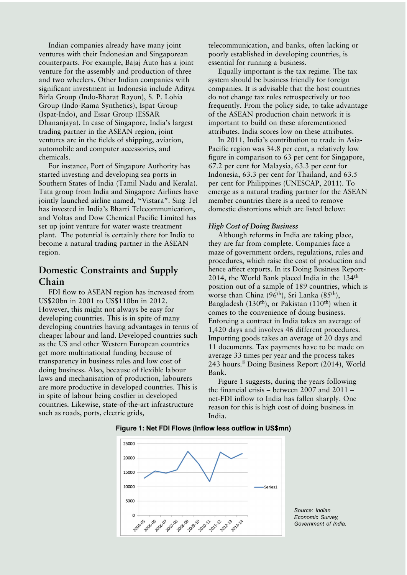Indian companies already have many joint ventures with their Indonesian and Singaporean counterparts. For example, Bajaj Auto has a joint venture for the assembly and production of three and two wheelers. Other Indian companies with significant investment in Indonesia include Aditya Birla Group (Indo-Bharat Rayon), S. P. Lohia Group (Indo-Rama Synthetics), Ispat Group (Ispat-Indo), and Essar Group (ESSAR Dhananjaya). In case of Singapore, India's largest trading partner in the ASEAN region, joint ventures are in the fields of shipping, aviation, automobile and computer accessories, and chemicals.

For instance, Port of Singapore Authority has started investing and developing sea ports in Southern States of India (Tamil Nadu and Kerala). Tata group from India and Singapore Airlines have jointly launched airline named, "Vistara". Sing Tel has invested in India's Bharti Telecommunication, and Voltas and Dow Chemical Pacific Limited has set up joint venture for water waste treatment plant. The potential is certainly there for India to become a natural trading partner in the ASEAN region.

## **Domestic Constraints and Supply Chain**

FDI flow to ASEAN region has increased from US\$20bn in 2001 to US\$110bn in 2012. However, this might not always be easy for developing countries. This is in spite of many developing countries having advantages in terms of cheaper labour and land. Developed countries such as the US and other Western European countries get more multinational funding because of transparency in business rules and low cost of doing business. Also, because of flexible labour laws and mechanisation of production, labourers are more productive in developed countries. This is in spite of labour being costlier in developed countries. Likewise, state-of-the-art infrastructure such as roads, ports, electric grids,

telecommunication, and banks, often lacking or poorly established in developing countries, is essential for running a business.

Equally important is the tax regime. The tax system should be business friendly for foreign companies. It is advisable that the host countries do not change tax rules retrospectively or too frequently. From the policy side, to take advantage of the ASEAN production chain network it is important to build on these aforementioned attributes. India scores low on these attributes.

In 2011, India's contribution to trade in Asia-Pacific region was 34.8 per cent, a relatively low figure in comparison to 63 per cent for Singapore, 67.2 per cent for Malaysia, 63.3 per cent for Indonesia, 63.3 per cent for Thailand, and 63.5 per cent for Philippines (UNESCAP, 2011). To emerge as a natural trading partner for the ASEAN member countries there is a need to remove domestic distortions which are listed below:

#### *High Cost of Doing Business*

Although reforms in India are taking place, they are far from complete. Companies face a maze of government orders, regulations, rules and procedures, which raise the cost of production and hence affect exports. In its Doing Business Report-2014, the World Bank placed India in the 134<sup>th</sup> position out of a sample of 189 countries, which is worse than China (96<sup>th</sup>), Sri Lanka (85<sup>th</sup>), Bangladesh (130<sup>th</sup>), or Pakistan (110<sup>th</sup>) when it comes to the convenience of doing business. Enforcing a contract in India takes an average of 1,420 days and involves 46 different procedures. Importing goods takes an average of 20 days and 11 documents. Tax payments have to be made on average 33 times per year and the process takes 243 hours.8 Doing Business Report (2014), World Bank.

Figure 1 suggests, during the years following the financial crisis  $-$  between 2007 and 2011  $$ net-FDI inflow to India has fallen sharply. One reason for this is high cost of doing business in India.



**Figure 1: Net FDI Flows (Inflow less outflow in US\$mn)**

*Source: Indian Economic Survey, Government of India.*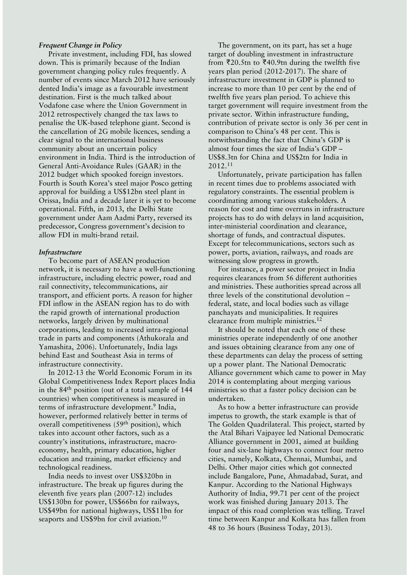#### *Frequent Change in Policy*

Private investment, including FDI, has slowed down. This is primarily because of the Indian government changing policy rules frequently. A number of events since March 2012 have seriously dented India's image as a favourable investment destination. First is the much talked about Vodafone case where the Union Government in 2012 retrospectively changed the tax laws to penalise the UK-based telephone giant. Second is the cancellation of 2G mobile licences, sending a clear signal to the international business community about an uncertain policy environment in India. Third is the introduction of General Anti-Avoidance Rules (GAAR) in the 2012 budget which spooked foreign investors. Fourth is South Korea's steel major Posco getting approval for building a US\$12bn steel plant in Orissa, India and a decade later it is yet to become operational. Fifth, in 2013, the Delhi State government under Aam Aadmi Party, reversed its predecessor, Congress government's decision to allow FDI in multi-brand retail.

#### *Infrastructure*

To become part of ASEAN production network, it is necessary to have a well-functioning infrastructure, including electric power, road and rail connectivity, telecommunications, air transport, and efficient ports. A reason for higher FDI inflow in the ASEAN region has to do with the rapid growth of international production networks, largely driven by multinational corporations, leading to increased intra-regional trade in parts and components (Athukorala and Yamashita, 2006). Unfortunately, India lags behind East and Southeast Asia in terms of infrastructure connectivity.

In 2012-13 the World Economic Forum in its Global Competitiveness Index Report places India in the 84th position (out of a total sample of 144 countries) when competitiveness is measured in terms of infrastructure development.<sup>9</sup> India, however, performed relatively better in terms of overall competitiveness (59th position), which takes into account other factors, such as a country's institutions, infrastructure, macroeconomy, health, primary education, higher education and training, market efficiency and technological readiness.

India needs to invest over US\$320bn in infrastructure. The break up figures during the eleventh five years plan (2007-12) includes US\$130bn for power, US\$66bn for railways, US\$49bn for national highways, US\$11bn for seaports and US\$9bn for civil aviation.<sup>10</sup>

The government, on its part, has set a huge target of doubling investment in infrastructure from  $\bar{\mathcal{F}}20.5$ tn to  $\bar{\mathcal{F}}40.9$ tn during the twelfth five years plan period (2012-2017). The share of infrastructure investment in GDP is planned to increase to more than 10 per cent by the end of twelfth five years plan period. To achieve this target government will require investment from the private sector. Within infrastructure funding, contribution of private sector is only 36 per cent in comparison to China's 48 per cent. This is notwithstanding the fact that China's GDP is almost four times the size of India's  $GDP -$ US\$8.3tn for China and US\$2tn for India in 2012.<sup>11</sup>

Unfortunately, private participation has fallen in recent times due to problems associated with regulatory constraints. The essential problem is coordinating among various stakeholders. A reason for cost and time overruns in infrastructure projects has to do with delays in land acquisition, inter-ministerial coordination and clearance, shortage of funds, and contractual disputes. Except for telecommunications, sectors such as power, ports, aviation, railways, and roads are witnessing slow progress in growth.

For instance, a power sector project in India requires clearances from 56 different authorities and ministries. These authorities spread across all three levels of the constitutional devolution  $$ federal, state, and local bodies such as village panchayats and municipalities. It requires clearance from multiple ministries.12

It should be noted that each one of these ministries operate independently of one another and issues obtaining clearance from any one of these departments can delay the process of setting up a power plant. The National Democratic Alliance government which came to power in May 2014 is contemplating about merging various ministries so that a faster policy decision can be undertaken.

As to how a better infrastructure can provide impetus to growth, the stark example is that of The Golden Quadrilateral. This project, started by the Atal Bihari Vajpayee led National Democratic Alliance government in 2001, aimed at building four and six-lane highways to connect four metro cities, namely, Kolkata, Chennai, Mumbai, and Delhi. Other major cities which got connected include Bangalore, Pune, Ahmadabad, Surat, and Kanpur. According to the National Highways Authority of India, 99.71 per cent of the project work was finished during January 2013. The impact of this road completion was telling. Travel time between Kanpur and Kolkata has fallen from 48 to 36 hours (Business Today, 2013).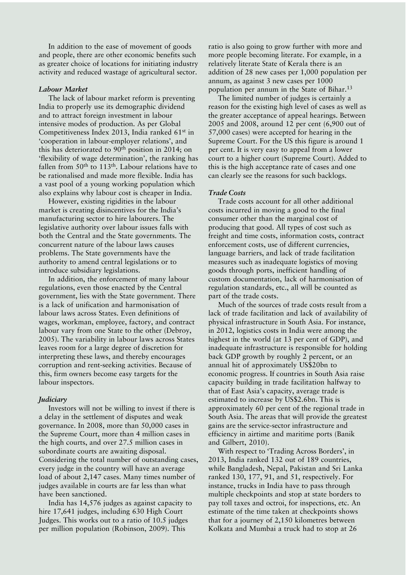In addition to the ease of movement of goods and people, there are other economic benefits such as greater choice of locations for initiating industry activity and reduced wastage of agricultural sector.

#### *Labour Market*

The lack of labour market reform is preventing India to properly use its demographic dividend and to attract foreign investment in labour intensive modes of production. As per Global Competitiveness Index 2013, India ranked 61st in 'cooperation in labour-employer relations', and this has deteriorated to  $90<sup>th</sup>$  position in 2014; on 'flexibility of wage determination', the ranking has fallen from  $50<sup>th</sup>$  to  $113<sup>th</sup>$ . Labour relations have to be rationalised and made more flexible. India has a vast pool of a young working population which also explains why labour cost is cheaper in India.

However, existing rigidities in the labour market is creating disincentives for the India's manufacturing sector to hire labourers. The legislative authority over labour issues falls with both the Central and the State governments. The concurrent nature of the labour laws causes problems. The State governments have the authority to amend central legislations or to introduce subsidiary legislations.

In addition, the enforcement of many labour regulations, even those enacted by the Central government, lies with the State government. There is a lack of unification and harmonisation of labour laws across States. Even definitions of wages, workman, employee, factory, and contract labour vary from one State to the other (Debroy, 2005). The variability in labour laws across States leaves room for a large degree of discretion for interpreting these laws, and thereby encourages corruption and rent-seeking activities. Because of this, firm owners become easy targets for the labour inspectors.

#### *Judiciary*

Investors will not be willing to invest if there is a delay in the settlement of disputes and weak governance. In 2008, more than 50,000 cases in the Supreme Court, more than 4 million cases in the high courts, and over 27.5 million cases in subordinate courts are awaiting disposal. Considering the total number of outstanding cases, every judge in the country will have an average load of about 2,147 cases. Many times number of judges available in courts are far less than what have been sanctioned.

India has 14,576 judges as against capacity to hire 17,641 judges, including 630 High Court Judges. This works out to a ratio of 10.5 judges per million population (Robinson, 2009). This

ratio is also going to grow further with more and more people becoming literate. For example, in a relatively literate State of Kerala there is an addition of 28 new cases per 1,000 population per annum, as against 3 new cases per 1000 population per annum in the State of Bihar.<sup>13</sup>

The limited number of judges is certainly a reason for the existing high level of cases as well as the greater acceptance of appeal hearings. Between 2005 and 2008, around 12 per cent (6,900 out of 57,000 cases) were accepted for hearing in the Supreme Court. For the US this figure is around 1 per cent. It is very easy to appeal from a lower court to a higher court (Supreme Court). Added to this is the high acceptance rate of cases and one can clearly see the reasons for such backlogs.

#### *Trade Costs*

Trade costs account for all other additional costs incurred in moving a good to the final consumer other than the marginal cost of producing that good. All types of cost such as freight and time costs, information costs, contract enforcement costs, use of different currencies, language barriers, and lack of trade facilitation measures such as inadequate logistics of moving goods through ports, inefficient handling of custom documentation, lack of harmonisation of regulation standards, etc., all will be counted as part of the trade costs.

Much of the sources of trade costs result from a lack of trade facilitation and lack of availability of physical infrastructure in South Asia. For instance, in 2012, logistics costs in India were among the highest in the world (at 13 per cent of GDP), and inadequate infrastructure is responsible for holding back GDP growth by roughly 2 percent, or an annual hit of approximately US\$20bn to economic progress. If countries in South Asia raise capacity building in trade facilitation halfway to that of East Asia's capacity, average trade is estimated to increase by US\$2.6bn. This is approximately 60 per cent of the regional trade in South Asia. The areas that will provide the greatest gains are the service-sector infrastructure and efficiency in airtime and maritime ports (Banik and Gilbert, 2010).

With respect to 'Trading Across Borders', in 2013, India ranked 132 out of 189 countries, while Bangladesh, Nepal, Pakistan and Sri Lanka ranked 130, 177, 91, and 51, respectively. For instance, trucks in India have to pass through multiple checkpoints and stop at state borders to pay toll taxes and octroi, for inspections, etc. An estimate of the time taken at checkpoints shows that for a journey of 2,150 kilometres between Kolkata and Mumbai a truck had to stop at 26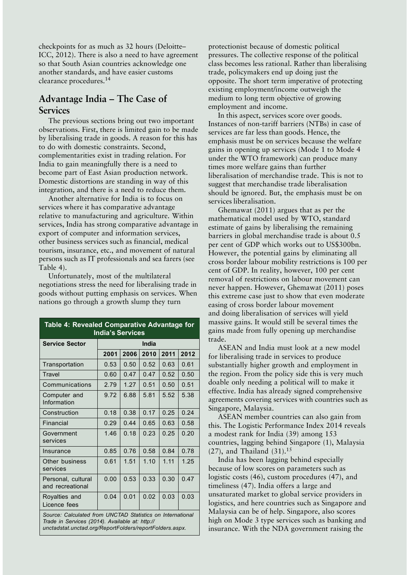checkpoints for as much as 32 hours (Deloitte-ICC, 2012). There is also a need to have agreement so that South Asian countries acknowledge one another standards, and have easier customs clearance procedures.14

## Advantage India – The Case of **Services**

The previous sections bring out two important observations. First, there is limited gain to be made by liberalising trade in goods. A reason for this has to do with domestic constraints. Second, complementarities exist in trading relation. For India to gain meaningfully there is a need to become part of East Asian production network. Domestic distortions are standing in way of this integration, and there is a need to reduce them.

Another alternative for India is to focus on services where it has comparative advantage relative to manufacturing and agriculture. Within services, India has strong comparative advantage in export of computer and information services, other business services such as financial, medical tourism, insurance, etc., and movement of natural persons such as IT professionals and sea farers (see Table 4).

Unfortunately, most of the multilateral negotiations stress the need for liberalising trade in goods without putting emphasis on services. When nations go through a growth slump they turn

| Table 4: Revealed Comparative Advantage for<br><b>India's Services</b>                                                                                                   |       |      |      |      |      |  |
|--------------------------------------------------------------------------------------------------------------------------------------------------------------------------|-------|------|------|------|------|--|
| <b>Service Sector</b>                                                                                                                                                    | India |      |      |      |      |  |
|                                                                                                                                                                          | 2001  | 2006 | 2010 | 2011 | 2012 |  |
| Transportation                                                                                                                                                           | 0.53  | 0.50 | 0.52 | 0.63 | 0.61 |  |
| Travel                                                                                                                                                                   | 0.60  | 0.47 | 0.47 | 0.52 | 0.50 |  |
| Communications                                                                                                                                                           | 2.79  | 1 27 | 0.51 | 0.50 | 0.51 |  |
| Computer and<br>Information                                                                                                                                              | 9.72  | 6.88 | 5.81 | 5.52 | 5.38 |  |
| Construction                                                                                                                                                             | 0.18  | 0.38 | 0.17 | 0.25 | 0.24 |  |
| Financial                                                                                                                                                                | 0.29  | 0.44 | 0.65 | 0.63 | 0.58 |  |
| Government<br>services                                                                                                                                                   | 1.46  | 0.18 | 0.23 | 0.25 | 0.20 |  |
| Insurance                                                                                                                                                                | 0.85  | 0.76 | 0.58 | 0.84 | 0.78 |  |
| Other business<br>services                                                                                                                                               | 0.61  | 1.51 | 1.10 | 1.11 | 1.25 |  |
| Personal, cultural<br>and recreational                                                                                                                                   | 0.00  | 0.53 | 0.33 | 0.30 | 0.47 |  |
| Royalties and<br>Licence fees                                                                                                                                            | 0.04  | 0.01 | 0.02 | 0.03 | 0.03 |  |
| Source: Calculated from UNCTAD Statistics on International<br>Trade in Services (2014). Available at: http://<br>unctadstat.unctad.org/ReportFolders/reportFolders.aspx. |       |      |      |      |      |  |

protectionist because of domestic political pressures. The collective response of the political class becomes less rational. Rather than liberalising trade, policymakers end up doing just the opposite. The short term imperative of protecting existing employment/income outweigh the medium to long term objective of growing employment and income.

In this aspect, services score over goods. Instances of non-tariff barriers (NTBs) in case of services are far less than goods. Hence, the emphasis must be on services because the welfare gains in opening up services (Mode 1 to Mode 4 under the WTO framework) can produce many times more welfare gains than further liberalisation of merchandise trade. This is not to suggest that merchandise trade liberalisation should be ignored. But, the emphasis must be on services liberalisation.

Ghemawat (2011) argues that as per the mathematical model used by WTO, standard estimate of gains by liberalising the remaining barriers in global merchandise trade is about 0.5 per cent of GDP which works out to US\$300bn. However, the potential gains by eliminating all cross border labour mobility restrictions is 100 per cent of GDP. In reality, however, 100 per cent removal of restrictions on labour movement can never happen. However, Ghemawat (2011) poses this extreme case just to show that even moderate easing of cross border labour movement and doing liberalisation of services will yield massive gains. It would still be several times the gains made from fully opening up merchandise trade.

ASEAN and India must look at a new model for liberalising trade in services to produce substantially higher growth and employment in the region. From the policy side this is very much doable only needing a political will to make it effective. India has already signed comprehensive agreements covering services with countries such as Singapore, Malaysia.

ASEAN member countries can also gain from this. The Logistic Performance Index 2014 reveals a modest rank for India (39) among 153 countries, lagging behind Singapore (1), Malaysia  $(27)$ , and Thailand  $(31).^{15}$ 

India has been lagging behind especially because of low scores on parameters such as logistic costs (46), custom procedures (47), and timeliness (47). India offers a large and unsaturated market to global service providers in logistics, and here countries such as Singapore and Malaysia can be of help. Singapore, also scores high on Mode 3 type services such as banking and insurance. With the NDA government raising the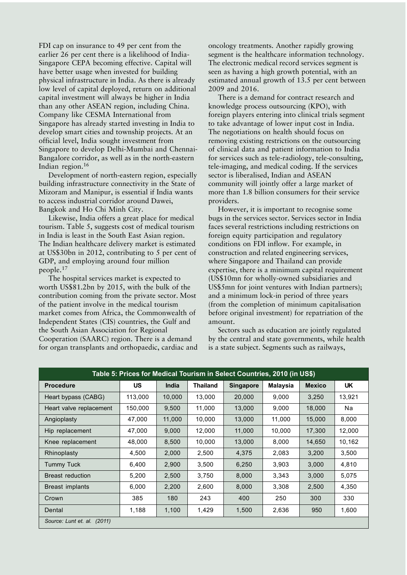FDI cap on insurance to 49 per cent from the earlier 26 per cent there is a likelihood of India-Singapore CEPA becoming effective. Capital will have better usage when invested for building physical infrastructure in India. As there is already low level of capital deployed, return on additional capital investment will always be higher in India than any other ASEAN region, including China. Company like CESMA International from Singapore has already started investing in India to develop smart cities and township projects. At an official level, India sought investment from Singapore to develop Delhi-Mumbai and Chennai-Bangalore corridor, as well as in the north-eastern Indian region.16

Development of north-eastern region, especially building infrastructure connectivity in the State of Mizoram and Manipur, is essential if India wants to access industrial corridor around Dawei, Bangkok and Ho Chi Minh City.

Likewise, India offers a great place for medical tourism. Table 5, suggests cost of medical tourism in India is least in the South East Asian region. The Indian healthcare delivery market is estimated at US\$30bn in 2012, contributing to 5 per cent of GDP, and employing around four million people.<sup>17</sup>

The hospital services market is expected to worth US\$81.2bn by 2015, with the bulk of the contribution coming from the private sector. Most of the patient involve in the medical tourism market comes from Africa, the Commonwealth of Independent States (CIS) countries, the Gulf and the South Asian Association for Regional Cooperation (SAARC) region. There is a demand for organ transplants and orthopaedic, cardiac and

oncology treatments. Another rapidly growing segment is the healthcare information technology. The electronic medical record services segment is seen as having a high growth potential, with an estimated annual growth of 13.5 per cent between 2009 and 2016.

There is a demand for contract research and knowledge process outsourcing (KPO), with foreign players entering into clinical trials segment to take advantage of lower input cost in India. The negotiations on health should focus on removing existing restrictions on the outsourcing of clinical data and patient information to India for services such as tele-radiology, tele-consulting, tele-imaging, and medical coding. If the services sector is liberalised, Indian and ASEAN community will jointly offer a large market of more than 1.8 billion consumers for their service providers.

However, it is important to recognise some bugs in the services sector. Services sector in India faces several restrictions including restrictions on foreign equity participation and regulatory conditions on FDI inflow. For example, in construction and related engineering services, where Singapore and Thailand can provide expertise, there is a minimum capital requirement (US\$10mn for wholly-owned subsidiaries and US\$5mn for joint ventures with Indian partners); and a minimum lock-in period of three years (from the completion of minimum capitalisation before original investment) for repatriation of the amount.

Sectors such as education are jointly regulated by the central and state governments, while health is a state subject. Segments such as railways,

| Table 5: Prices for Medical Tourism in Select Countries, 2010 (in US\$) |           |              |                 |                  |                 |               |           |
|-------------------------------------------------------------------------|-----------|--------------|-----------------|------------------|-----------------|---------------|-----------|
| <b>Procedure</b>                                                        | <b>US</b> | <b>India</b> | <b>Thailand</b> | <b>Singapore</b> | <b>Malaysia</b> | <b>Mexico</b> | <b>UK</b> |
| Heart bypass (CABG)                                                     | 113.000   | 10,000       | 13.000          | 20,000           | 9.000           | 3.250         | 13.921    |
| Heart valve replacement                                                 | 150,000   | 9,500        | 11,000          | 13,000           | 9,000           | 18,000        | Na        |
| Angioplasty                                                             | 47,000    | 11,000       | 10,000          | 13,000           | 11,000          | 15,000        | 8,000     |
| Hip replacement                                                         | 47,000    | 9,000        | 12,000          | 11,000           | 10,000          | 17,300        | 12,000    |
| Knee replacement                                                        | 48,000    | 8,500        | 10,000          | 13,000           | 8,000           | 14,650        | 10,162    |
| Rhinoplasty                                                             | 4,500     | 2,000        | 2,500           | 4,375            | 2,083           | 3,200         | 3,500     |
| Tummy Tuck                                                              | 6,400     | 2,900        | 3,500           | 6,250            | 3,903           | 3,000         | 4,810     |
| Breast reduction                                                        | 5,200     | 2,500        | 3,750           | 8,000            | 3,343           | 3,000         | 5,075     |
| Breast implants                                                         | 6,000     | 2,200        | 2,600           | 8,000            | 3,308           | 2,500         | 4,350     |
| Crown                                                                   | 385       | 180          | 243             | 400              | 250             | 300           | 330       |
| Dental                                                                  | 1,188     | 1,100        | 1,429           | 1,500            | 2,636           | 950           | 1,600     |
| Source: Lunt et. al. (2011)                                             |           |              |                 |                  |                 |               |           |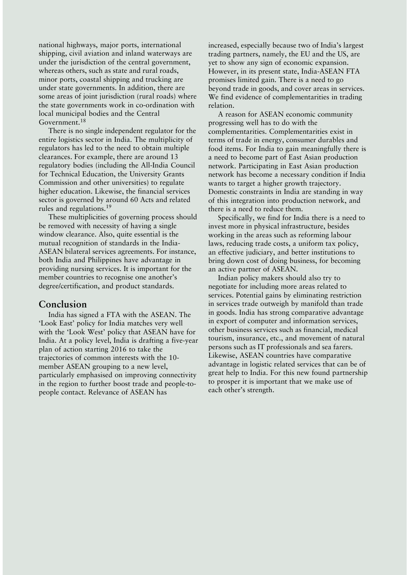national highways, major ports, international shipping, civil aviation and inland waterways are under the jurisdiction of the central government, whereas others, such as state and rural roads, minor ports, coastal shipping and trucking are under state governments. In addition, there are some areas of joint jurisdiction (rural roads) where the state governments work in co-ordination with local municipal bodies and the Central Government.<sup>18</sup>

There is no single independent regulator for the entire logistics sector in India. The multiplicity of regulators has led to the need to obtain multiple clearances. For example, there are around 13 regulatory bodies (including the All-India Council for Technical Education, the University Grants Commission and other universities) to regulate higher education. Likewise, the financial services sector is governed by around 60 Acts and related rules and regulations.<sup>19</sup>

These multiplicities of governing process should be removed with necessity of having a single window clearance. Also, quite essential is the mutual recognition of standards in the India-ASEAN bilateral services agreements. For instance, both India and Philippines have advantage in providing nursing services. It is important for the member countries to recognise one another's degree/certification, and product standards.

### **Conclusion**

India has signed a FTA with the ASEAN. The 'Look East' policy for India matches very well with the 'Look West' policy that ASEAN have for India. At a policy level, India is drafting a five-year plan of action starting 2016 to take the trajectories of common interests with the 10 member ASEAN grouping to a new level, particularly emphasised on improving connectivity in the region to further boost trade and people-topeople contact. Relevance of ASEAN has

increased, especially because two of India's largest trading partners, namely, the EU and the US, are yet to show any sign of economic expansion. However, in its present state, India-ASEAN FTA promises limited gain. There is a need to go beyond trade in goods, and cover areas in services. We find evidence of complementarities in trading relation.

A reason for ASEAN economic community progressing well has to do with the complementarities. Complementarities exist in terms of trade in energy, consumer durables and food items. For India to gain meaningfully there is a need to become part of East Asian production network. Participating in East Asian production network has become a necessary condition if India wants to target a higher growth trajectory. Domestic constraints in India are standing in way of this integration into production network, and there is a need to reduce them.

Specifically, we find for India there is a need to invest more in physical infrastructure, besides working in the areas such as reforming labour laws, reducing trade costs, a uniform tax policy, an effective judiciary, and better institutions to bring down cost of doing business, for becoming an active partner of ASEAN.

Indian policy makers should also try to negotiate for including more areas related to services. Potential gains by eliminating restriction in services trade outweigh by manifold than trade in goods. India has strong comparative advantage in export of computer and information services, other business services such as financial, medical tourism, insurance, etc., and movement of natural persons such as IT professionals and sea farers. Likewise, ASEAN countries have comparative advantage in logistic related services that can be of great help to India. For this new found partnership to prosper it is important that we make use of each other's strength.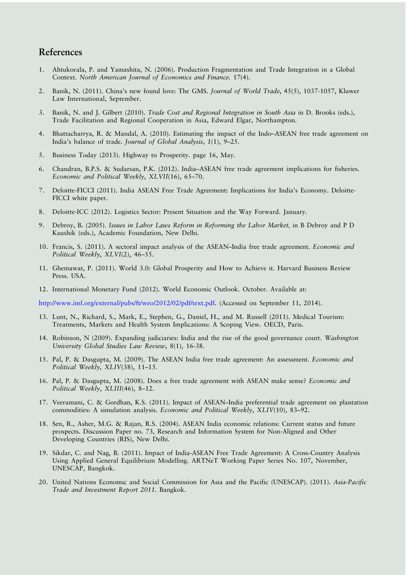## **References**

- 1. Ahtukorala, P. and Yamashita, N. (2006). Production Fragmentation and Trade Integration in a Global Context. *North American Journal of Economics and Finance.* 17(4).
- 2. Banik, N. (2011). Chinaís new found love: The GMS. *Journal of World Trade*, 45(5), 1037-1057, Kluwer Law International, September.
- 3. Banik, N. and J. Gilbert (2010). *Trade Cost and Regional Integration in South Asia* in D. Brooks (eds.), Trade Facilitation and Regional Cooperation in Asia, Edward Elgar, Northampton.
- 4. Bhattacharrya, R. & Mandal, A. (2010). Estimating the impact of the Indo-ASEAN free trade agreement on India's balance of trade. *Journal of Global Analysis*, 1(1), 9-25.
- 5. Business Today (2013). Highway to Prosperity. page 16, May.
- 6. Chandran, B.P.S. & Sudarsan, P.K. (2012). India-ASEAN free trade agreement implications for fisheries. *Economic and Political Weekly, XLVII*(16), 65-70.
- 7. Deloitte-FICCI (2011). India ASEAN Free Trade Agreement: Implications for Indiaís Economy. Deloitte-FICCI white paper.
- 8. Deloitte-ICC (2012). Logistics Sector: Present Situation and the Way Forward. January.
- 9. Debroy, B. (2005). *Issues in Labor Laws Reform in Reforming the Labor Market,* in B Debroy and P D Kaushik (eds.), Academic Foundation, New Delhi.
- 10. Francis, S. (2011). A sectoral impact analysis of the ASEAN-India free trade agreement. *Economic and Political Weekly, XLVI(2), 46-55.*
- 11. Ghemawat, P. (2011). World 3.0: Global Prosperity and How to Achieve it. Harvard Business Review Press. USA.
- 12. International Monetary Fund (2012). World Economic Outlook. October. Available at:

http://www.imf.org/external/pubs/ft/weo/2012/02/pdf/text.pdf. (Accessed on September 11, 2014).

- 13. Lunt, N., Richard, S., Mark, E., Stephen, G., Daniel, H., and M. Russell (2011). Medical Tourism: Treatments, Markets and Health System Implications: A Scoping View. OECD, Paris.
- 14. Robinson, N (2009). Expanding judiciaries: India and the rise of the good governance court. *Washington University Global Studies Law Review*, 8(1), 16-38.
- 15. Pal, P. & Dasgupta, M. (2009). The ASEAN India free trade agreement: An assessment. *Economic and Political Weekly, XLIV(38), 11-15.*
- 16. Pal, P. & Dasgupta, M. (2008). Does a free trade agreement with ASEAN make sense? *Economic and Political Weekly*, *XLIII*(46), 8-12.
- 17. Veeramani, C. & Gordhan, K.S. (2011). Impact of ASEAN-India preferential trade agreement on plantation commodities: A simulation analysis. *Economic and Political Weekly*, *XLIV*(10), 83-92.
- 18. Sen, R., Asher, M.G. & Rajan, R.S. (2004). ASEAN India economic relations: Current status and future prospects. Discussion Paper no. 73, Research and Information System for Non-Aligned and Other Developing Countries (RIS), New Delhi.
- 19. Sikdar, C. and Nag, B. (2011). Impact of India-ASEAN Free Trade Agreement: A Cross-Country Analysis Using Applied General Equilibrium Modelling. ARTNeT Working Paper Series No. 107, November, UNESCAP, Bangkok.
- 20. United Nations Economic and Social Commission for Asia and the Pacific (UNESCAP). (2011). *Asia-Pacific Trade and Investment Report 2011*. Bangkok.